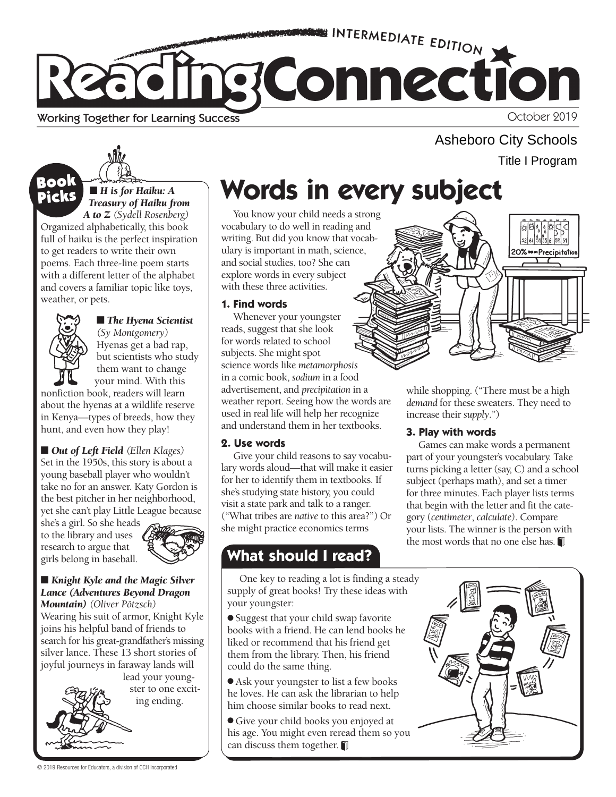

#### Working Together for Learning Success

October 2019

Asheboro City Schools Title I Program



### ■ *H* is for Haiku: A *Treasury of Haiku from*

*A to Z (Sydell Rosenberg)*  Organized alphabetically, this book full of haiku is the perfect inspiration to get readers to write their own poems. Each three-line poem starts with a different letter of the alphabet and covers a familiar topic like toys, weather, or pets.



## ■ *The Hyena Scientist*

*(Sy Montgomery)*  Hyenas get a bad rap, but scientists who study them want to change your mind. With this

nonfiction book, readers will learn about the hyenas at a wildlife reserve in Kenya—types of breeds, how they hunt, and even how they play!

■ *Out of Left Field* (*Ellen Klages*) Set in the 1950s, this story is about a young baseball player who wouldn't take no for an answer. Katy Gordon is the best pitcher in her neighborhood, yet she can't play Little League because

she's a girl. So she heads to the library and uses research to argue that girls belong in baseball.



#### ■ *Knight Kyle and the Magic Silver Lance (Adventures Beyond Dragon*

 *Mountain) (Oliver Pötzsch)* Wearing his suit of armor, Knight Kyle joins his helpful band of friends to search for his great-grandfather's missing silver lance. These 13 short stories of joyful journeys in faraway lands will

lead your youngster to one exciting ending.

# **BOOK Words in every subject Mords** in every subject

You know your child needs a strong vocabulary to do well in reading and writing. But did you know that vocabulary is important in math, science, and social studies, too? She can explore words in every subject with these three activities.

#### **1. Find words**

Whenever your youngster reads, suggest that she look for words related to school subjects. She might spot science words like *metamorphosis*  in a comic book, *sodium* in a food advertisement, and *precipitation* in a weather report. Seeing how the words are used in real life will help her recognize and understand them in her textbooks.

#### **2. Use words**

Give your child reasons to say vocabulary words aloud—that will make it easier for her to identify them in textbooks. If she's studying state history, you could visit a state park and talk to a ranger. ("What tribes are *native* to this area?") Or she might practice economics terms

## **What should I read?**

One key to reading a lot is finding a steady supply of great books! Try these ideas with your youngster:

● Suggest that your child swap favorite books with a friend. He can lend books he liked or recommend that his friend get them from the library. Then, his friend could do the same thing.

● Ask your youngster to list a few books he loves. He can ask the librarian to help him choose similar books to read next.

● Give your child books you enjoyed at his age. You might even reread them so you can discuss them together.



while shopping. ("There must be a high *demand* for these sweaters. They need to increase their *supply*.")

#### **3. Play with words**

Games can make words a permanent part of your youngster's vocabulary. Take turns picking a letter (say, C) and a school subject (perhaps math), and set a timer for three minutes. Each player lists terms that begin with the letter and fit the category (*centimeter*, *calculate)*. Compare your lists. The winner is the person with the most words that no one else has.



© 2019 Resources for Educators, a division of CCH Incorporated